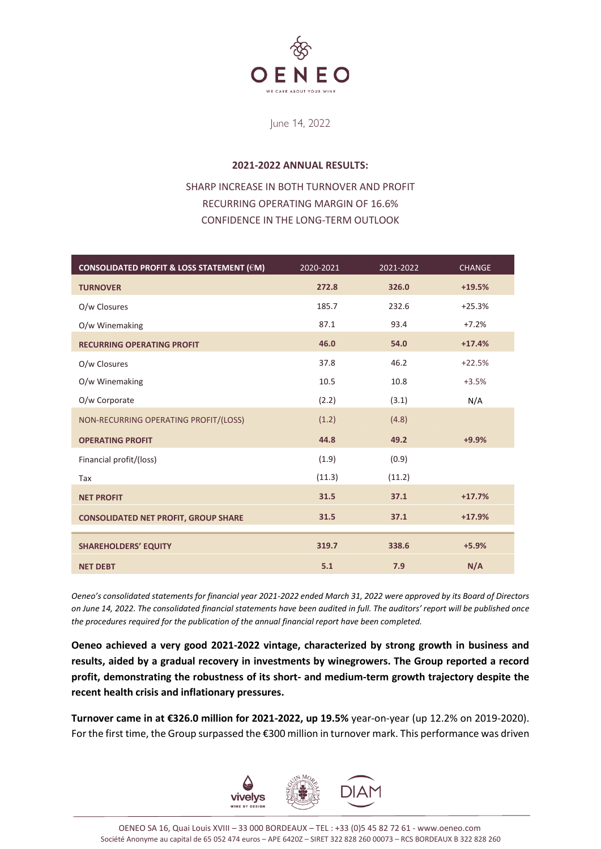

June 14, 2022

# **2021-2022 ANNUAL RESULTS:**

# SHARP INCREASE IN BOTH TURNOVER AND PROFIT RECURRING OPERATING MARGIN OF 16.6% CONFIDENCE IN THE LONG-TERM OUTLOOK

| CONSOLIDATED PROFIT & LOSS STATEMENT (€M)   | 2020-2021 | 2021-2022 | <b>CHANGE</b> |
|---------------------------------------------|-----------|-----------|---------------|
| <b>TURNOVER</b>                             | 272.8     | 326.0     | $+19.5%$      |
| O/w Closures                                | 185.7     | 232.6     | $+25.3%$      |
| O/w Winemaking                              | 87.1      | 93.4      | $+7.2%$       |
| <b>RECURRING OPERATING PROFIT</b>           | 46.0      | 54.0      | $+17.4%$      |
| O/w Closures                                | 37.8      | 46.2      | $+22.5%$      |
| O/w Winemaking                              | 10.5      | 10.8      | $+3.5%$       |
| O/w Corporate                               | (2.2)     | (3.1)     | N/A           |
| NON-RECURRING OPERATING PROFIT/(LOSS)       | (1.2)     | (4.8)     |               |
| <b>OPERATING PROFIT</b>                     | 44.8      | 49.2      | $+9.9%$       |
| Financial profit/(loss)                     | (1.9)     | (0.9)     |               |
| Tax                                         | (11.3)    | (11.2)    |               |
| <b>NET PROFIT</b>                           | 31.5      | 37.1      | $+17.7%$      |
| <b>CONSOLIDATED NET PROFIT, GROUP SHARE</b> | 31.5      | 37.1      | $+17.9%$      |
| <b>SHAREHOLDERS' EQUITY</b>                 | 319.7     | 338.6     | $+5.9%$       |
| <b>NET DEBT</b>                             | 5.1       | 7.9       | N/A           |

*Oeneo's consolidated statements for financial year 2021-2022 ended March 31, 2022 were approved by its Board of Directors on June 14, 2022. The consolidated financial statements have been audited in full. The auditors' report will be published once the procedures required for the publication of the annual financial report have been completed.*

**Oeneo achieved a very good 2021-2022 vintage, characterized by strong growth in business and results, aided by a gradual recovery in investments by winegrowers. The Group reported a record profit, demonstrating the robustness of its short- and medium-term growth trajectory despite the recent health crisis and inflationary pressures.**

**Turnover came in at €326.0 million for 2021-2022, up 19.5%** year-on-year (up 12.2% on 2019-2020). For the first time, the Group surpassed the €300 million in turnover mark. This performance was driven

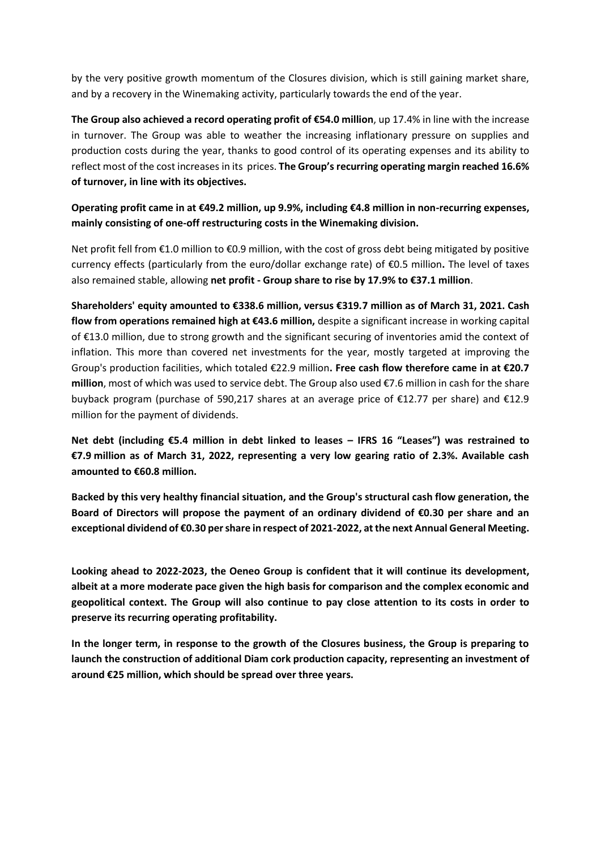by the very positive growth momentum of the Closures division, which is still gaining market share, and by a recovery in the Winemaking activity, particularly towards the end of the year.

**The Group also achieved a record operating profit of €54.0 million**, up 17.4% in line with the increase in turnover. The Group was able to weather the increasing inflationary pressure on supplies and production costs during the year, thanks to good control of its operating expenses and its ability to reflect most of the cost increases in its prices. **The Group's recurring operating margin reached 16.6% of turnover, in line with its objectives.**

**Operating profit came in at €49.2 million, up 9.9%, including €4.8 million in non-recurring expenses, mainly consisting of one-off restructuring costs in the Winemaking division.**

Net profit fell from €1.0 million to €0.9 million, with the cost of gross debt being mitigated by positive currency effects (particularly from the euro/dollar exchange rate) of €0.5 million**.** The level of taxes also remained stable, allowing **net profit - Group share to rise by 17.9% to €37.1 million**.

**Shareholders' equity amounted to €338.6 million, versus €319.7 million as of March 31, 2021. Cash flow from operations remained high at €43.6 million,** despite a significant increase in working capital of €13.0 million, due to strong growth and the significant securing of inventories amid the context of inflation. This more than covered net investments for the year, mostly targeted at improving the Group's production facilities, which totaled €22.9 million**. Free cash flow therefore came in at €20.7 million**, most of which was used to service debt. The Group also used €7.6 million in cash for the share buyback program (purchase of 590,217 shares at an average price of €12.77 per share) and €12.9 million for the payment of dividends.

**Net debt (including €5.4 million in debt linked to leases – IFRS 16 "Leases") was restrained to €7.9 million as of March 31, 2022, representing a very low gearing ratio of 2.3%. Available cash amounted to €60.8 million.**

**Backed by this very healthy financial situation, and the Group's structural cash flow generation, the Board of Directors will propose the payment of an ordinary dividend of €0.30 per share and an exceptional dividend of €0.30 per share in respect of 2021-2022, at the next Annual General Meeting.**

**Looking ahead to 2022-2023, the Oeneo Group is confident that it will continue its development, albeit at a more moderate pace given the high basis for comparison and the complex economic and geopolitical context. The Group will also continue to pay close attention to its costs in order to preserve its recurring operating profitability.**

**In the longer term, in response to the growth of the Closures business, the Group is preparing to launch the construction of additional Diam cork production capacity, representing an investment of around €25 million, which should be spread over three years.**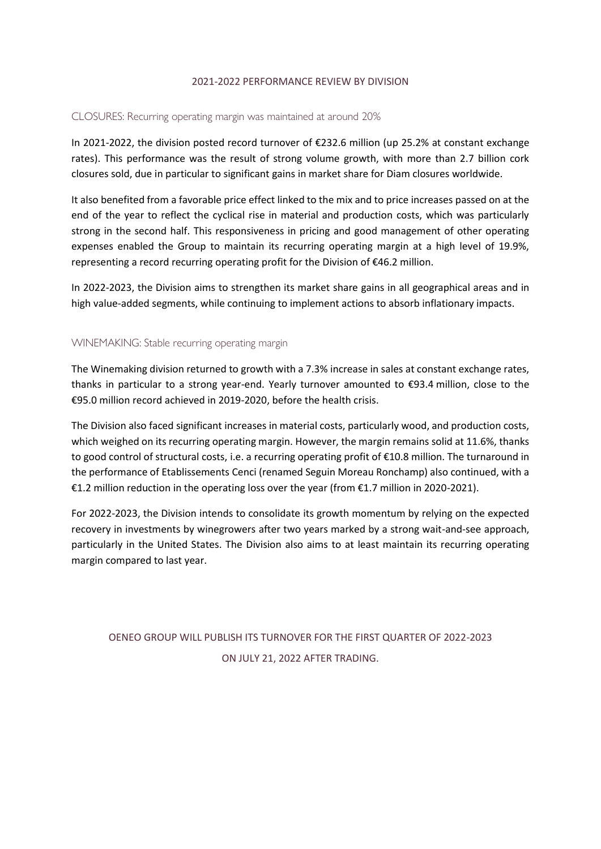# 2021-2022 PERFORMANCE REVIEW BY DIVISION

# CLOSURES: Recurring operating margin was maintained at around 20%

In 2021-2022, the division posted record turnover of €232.6 million (up 25.2% at constant exchange rates). This performance was the result of strong volume growth, with more than 2.7 billion cork closures sold, due in particular to significant gains in market share for Diam closures worldwide.

It also benefited from a favorable price effect linked to the mix and to price increases passed on at the end of the year to reflect the cyclical rise in material and production costs, which was particularly strong in the second half. This responsiveness in pricing and good management of other operating expenses enabled the Group to maintain its recurring operating margin at a high level of 19.9%, representing a record recurring operating profit for the Division of €46.2 million.

In 2022-2023, the Division aims to strengthen its market share gains in all geographical areas and in high value-added segments, while continuing to implement actions to absorb inflationary impacts.

# WINEMAKING: Stable recurring operating margin

The Winemaking division returned to growth with a 7.3% increase in sales at constant exchange rates, thanks in particular to a strong year-end. Yearly turnover amounted to €93.4 million, close to the €95.0 million record achieved in 2019-2020, before the health crisis.

The Division also faced significant increases in material costs, particularly wood, and production costs, which weighed on its recurring operating margin. However, the margin remains solid at 11.6%, thanks to good control of structural costs, i.e. a recurring operating profit of €10.8 million. The turnaround in the performance of Etablissements Cenci (renamed Seguin Moreau Ronchamp) also continued, with a €1.2 million reduction in the operating loss over the year (from  $€1.7$  million in 2020-2021).

For 2022-2023, the Division intends to consolidate its growth momentum by relying on the expected recovery in investments by winegrowers after two years marked by a strong wait-and-see approach, particularly in the United States. The Division also aims to at least maintain its recurring operating margin compared to last year.

OENEO GROUP WILL PUBLISH ITS TURNOVER FOR THE FIRST QUARTER OF 2022-2023 ON JULY 21, 2022 AFTER TRADING.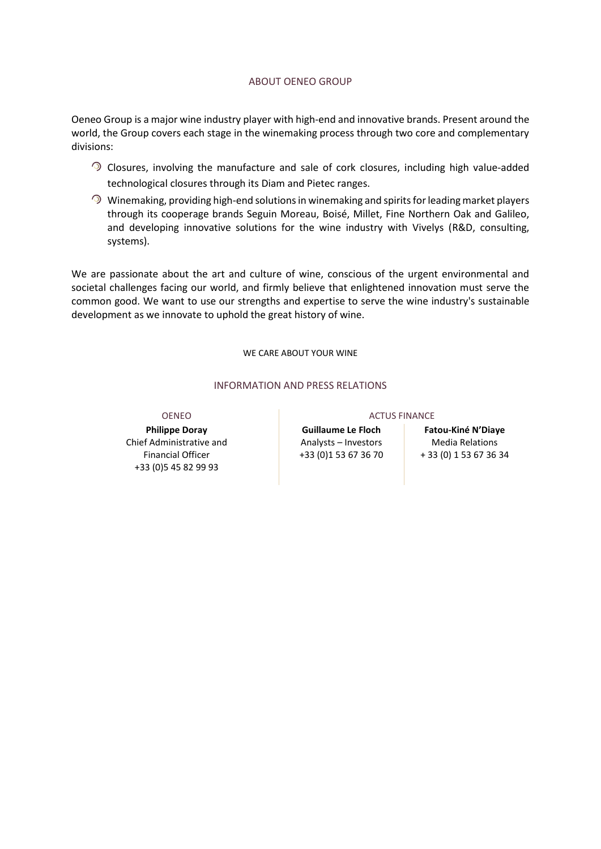## ABOUT OENEO GROUP

Oeneo Group is a major wine industry player with high-end and innovative brands. Present around the world, the Group covers each stage in the winemaking process through two core and complementary divisions:

- Closures, involving the manufacture and sale of cork closures, including high value-added technological closures through its Diam and Pietec ranges.
- $\odot$  Winemaking, providing high-end solutions in winemaking and spirits for leading market players through its cooperage brands Seguin Moreau, Boisé, Millet, Fine Northern Oak and Galileo, and developing innovative solutions for the wine industry with Vivelys (R&D, consulting, systems).

We are passionate about the art and culture of wine, conscious of the urgent environmental and societal challenges facing our world, and firmly believe that enlightened innovation must serve the common good. We want to use our strengths and expertise to serve the wine industry's sustainable development as we innovate to uphold the great history of wine.

WE CARE ABOUT YOUR WINE

## INFORMATION AND PRESS RELATIONS

**Philippe Doray** Chief Administrative and Financial Officer +33 (0)5 45 82 99 93

### OENEO ACTUS FINANCE

**Guillaume Le Floch**  Analysts – Investors +33 (0)1 53 67 36 70

# **Fatou-Kiné N'Diaye**

Media Relations + 33 (0) 1 53 67 36 34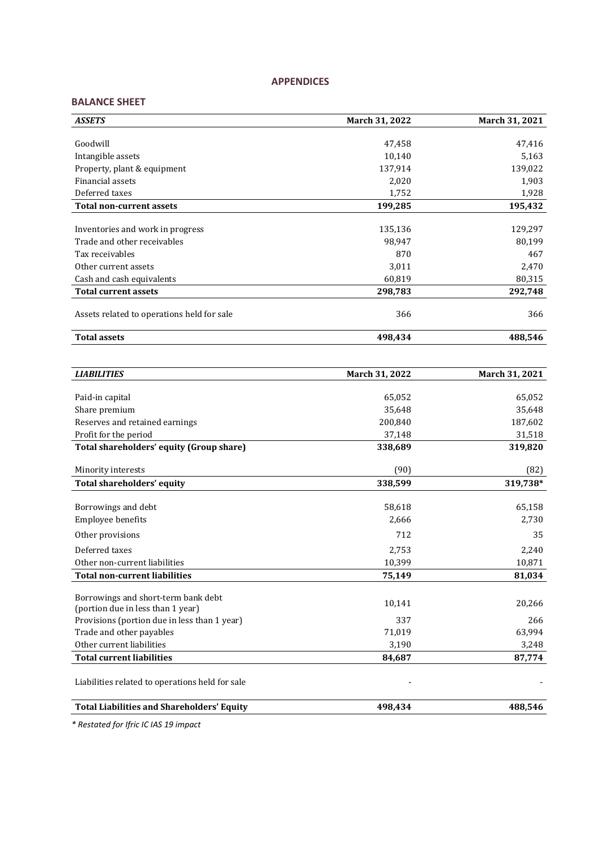# **APPENDICES**

# **BALANCE SHEET**

| <b>ASSETS</b>                              | March 31, 2022 | March 31, 2021 |
|--------------------------------------------|----------------|----------------|
|                                            |                |                |
| Goodwill                                   | 47,458         | 47,416         |
| Intangible assets                          | 10,140         | 5,163          |
| Property, plant & equipment                | 137,914        | 139,022        |
| Financial assets                           | 2,020          | 1,903          |
| Deferred taxes                             | 1,752          | 1,928          |
| <b>Total non-current assets</b>            | 199,285        | 195,432        |
|                                            |                |                |
| Inventories and work in progress           | 135,136        | 129,297        |
| Trade and other receivables                | 98,947         | 80,199         |
| Tax receivables                            | 870            | 467            |
| Other current assets                       | 3,011          | 2,470          |
| Cash and cash equivalents                  | 60,819         | 80,315         |
| <b>Total current assets</b>                | 298,783        | 292,748        |
| Assets related to operations held for sale | 366            | 366            |
| <b>Total assets</b>                        | 498,434        | 488,546        |

| <b>LIABILITIES</b>                                                       | March 31, 2022 | March 31, 2021 |
|--------------------------------------------------------------------------|----------------|----------------|
|                                                                          |                |                |
| Paid-in capital                                                          | 65,052         | 65,052         |
| Share premium                                                            | 35,648         | 35,648         |
| Reserves and retained earnings                                           | 200,840        | 187,602        |
| Profit for the period                                                    | 37,148         | 31,518         |
| Total shareholders' equity (Group share)                                 | 338,689        | 319,820        |
| Minority interests                                                       | (90)           | (82)           |
| <b>Total shareholders' equity</b>                                        | 338,599        | 319,738*       |
| Borrowings and debt                                                      | 58,618         | 65,158         |
| Employee benefits                                                        | 2,666          | 2,730          |
| Other provisions                                                         | 712            | 35             |
| Deferred taxes                                                           | 2,753          | 2,240          |
| Other non-current liabilities                                            | 10,399         | 10,871         |
| <b>Total non-current liabilities</b>                                     | 75,149         | 81,034         |
| Borrowings and short-term bank debt<br>(portion due in less than 1 year) | 10,141         | 20,266         |
| Provisions (portion due in less than 1 year)                             | 337            | 266            |
| Trade and other payables                                                 | 71.019         | 63,994         |
| Other current liabilities                                                | 3,190          | 3,248          |
| <b>Total current liabilities</b>                                         | 84,687         | 87,774         |
| Liabilities related to operations held for sale                          |                |                |
| <b>Total Liabilities and Shareholders' Equity</b>                        | 498,434        | 488,546        |

*\* Restated for Ifric IC IAS 19 impact*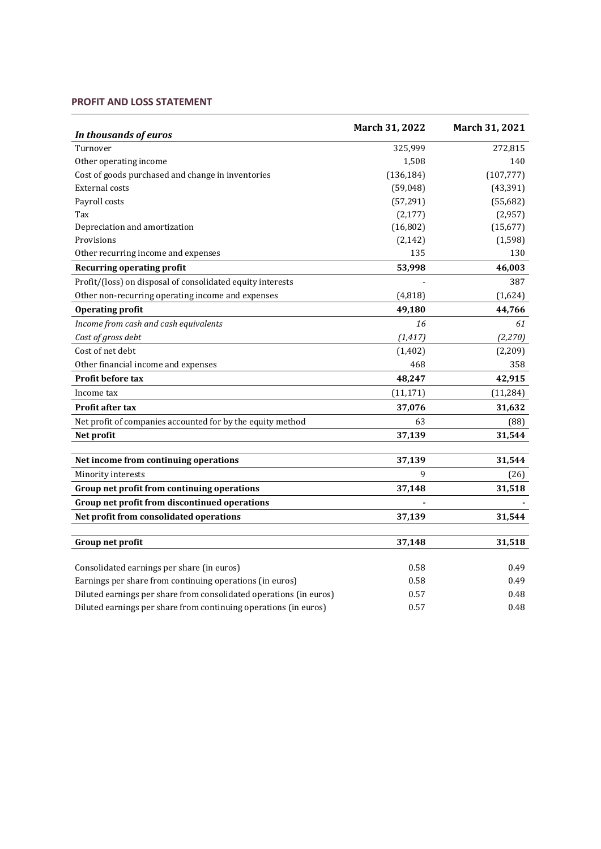# **PROFIT AND LOSS STATEMENT**

| In thousands of euros                                              | March 31, 2022 | March 31, 2021 |
|--------------------------------------------------------------------|----------------|----------------|
| Turnover                                                           | 325,999        | 272,815        |
| Other operating income                                             | 1,508          | 140            |
| Cost of goods purchased and change in inventories                  | (136, 184)     | (107, 777)     |
| <b>External costs</b>                                              | (59,048)       | (43, 391)      |
| Payroll costs                                                      | (57, 291)      | (55,682)       |
| Tax                                                                | (2, 177)       | (2,957)        |
| Depreciation and amortization                                      | (16, 802)      | (15, 677)      |
| Provisions                                                         | (2, 142)       | (1, 598)       |
| Other recurring income and expenses                                | 135            | 130            |
| <b>Recurring operating profit</b>                                  | 53,998         | 46,003         |
| Profit/(loss) on disposal of consolidated equity interests         |                | 387            |
| Other non-recurring operating income and expenses                  | (4,818)        | (1,624)        |
| <b>Operating profit</b>                                            | 49,180         | 44,766         |
| Income from cash and cash equivalents                              | 16             | 61             |
| Cost of gross debt                                                 | (1, 417)       | (2, 270)       |
| Cost of net debt                                                   | (1, 402)       | (2,209)        |
| Other financial income and expenses                                | 468            | 358            |
| <b>Profit before tax</b>                                           | 48,247         | 42,915         |
| Income tax                                                         | (11, 171)      | (11, 284)      |
| <b>Profit after tax</b>                                            | 37,076         | 31,632         |
| Net profit of companies accounted for by the equity method         | 63             | (88)           |
| Net profit                                                         | 37,139         | 31,544         |
|                                                                    |                |                |
| Net income from continuing operations                              | 37,139<br>9    | 31,544         |
| Minority interests                                                 |                | (26)           |
| Group net profit from continuing operations                        | 37,148         | 31,518         |
| Group net profit from discontinued operations                      |                |                |
| Net profit from consolidated operations                            | 37,139         | 31,544         |
| Group net profit                                                   | 37,148         | 31,518         |
|                                                                    |                |                |
| Consolidated earnings per share (in euros)                         | 0.58           | 0.49           |
| Earnings per share from continuing operations (in euros)           | 0.58           | 0.49           |
| Diluted earnings per share from consolidated operations (in euros) | 0.57           | 0.48           |
| Diluted earnings per share from continuing operations (in euros)   | 0.57           | 0.48           |